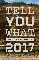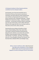**A third great instalment of New Zealand nonfiction curated by two of our sharpest readers.**

**Into the bush, out on the street and all the way to the bottom of the sea, from marae to motorway to mausoleum, this third collection of New Zealand's best new nonfiction writing heads off in pursuit of home, history and hard truths. Unfamiliar landscapes – Iceland, Middle Earth, Westminster Abbey – mingle with familiar sensations – an old song, the chlorine tang of a swimming pool, the taste of koko alaisa.** *Tell You What: 2017* **bears witness to the range and craft of our very best writers as they show us how we live, where, and why.**

**Featuring the prose stylings of Greg Bruce, Dylan Cleaver, Adam Dudding, Amber Esau, Sylvia Giles, Tom Goulter, Charlotte Grimshaw, David Haywood, Dylan Horrocks, Ali Ikram, Lynn Jenner, Nic Low, Maria McMillan, Moana Maniapoto, Selina Tusitala Marsh, Talia Marshall, Toni Nealie, Jane Phare, Jenni Quilter, Sistar Six, Tracey Slaughter, Rosabel Tan, Giovanni Tiso, Kennedy Warne, Rebekah White and Ashleigh Young.**

> **Writer, reviewer and literary editor Jolisa Gracewood likes bikes and is a benefactor of trees. Susanna Andrew thinks and writes about books for** *Metro*  **magazine, as well as working part time for Unity Books**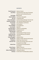## **CONTENTS**

| <b>David Haywood</b>      | <b>Hastens Vemod</b>                             |
|---------------------------|--------------------------------------------------|
| <b>Jane Phare</b>         | The Poisoning at the Lake: The Death             |
|                           | of Eleven-year-old David Davison                 |
| <b>Toni Nealie</b>        | <b>Bequeathed</b>                                |
| <b>Adam Dudding</b>       | <b>Learning to sing again</b>                    |
| <b>Nic Low</b>            | <b>Te Matatini 2015</b>                          |
| <b>Moana Maniapoto</b>    | Confused about tikanga? Join the club            |
| <b>Charlotte Grimshaw</b> | The Laureate Whānau Marae Trip                   |
| <b>Tom Goulter</b>        | <b>City of Shadows and Stories</b>               |
| <b>Sistar Six</b>         | <b>Her Outdoors</b>                              |
| <b>Maria McMillan</b>     | <b>It's Complicated</b>                          |
| Jenni Quilter             | <b>Baðstofa</b>                                  |
| <b>Kennedy Warne</b>      | All there is is belonging                        |
| <b>Rebekah White</b>      | <b>Disappearing Act</b>                          |
| <b>Talia Marshall</b>     | <b>Homes Fires</b>                               |
| Lynn Jenner               | <b>The [taniwha] of Poplar Avenue</b>            |
| <b>Dylan Horrocks</b>     | The Wood Between the Worlds                      |
| <b>Ashleigh Young</b>     | <b>Anemone</b>                                   |
| <b>Tracey Slaughter</b>   | <b>Ashdown Place</b>                             |
| <b>Rosabel Tan</b>        | <b>Hudson &amp; Halls, Histories Intertwined</b> |
| <b>Greg Bruce</b>         | <b>World Cups I have known</b>                   |
| Giovanni Tiso             | On the cost of living, sugar taxes and           |
|                           | the gospel of porridge                           |
| <b>Amber Esau</b>         | <b>On Having My Card Declined at</b>             |
|                           | Countdown                                        |
| <b>Dylan Cleaver</b>      | <b>Flights of fanciers</b>                       |
| <b>Sylvia Giles</b>       | Once I met a man who ate a kererū                |
| Selina Tusitala Marsh     | <b>Visiting the Queen</b>                        |
| Ali Ikram                 | On the Hoof: The Redundancy Diaries              |
|                           |                                                  |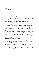# **Six Her Outdoors**

Other than it being night, I have no other reference to day, week or month. It is either mid-evening or mid-week, autumn or spring, judging by the light or lack thereof, the scant activity on the avenue and a balmy breeze from the west.

It could even be early dawn.

And by dawn I mean dusk.

Days melt into weeks, weeks to months, months to a lifetime. Day fades to night, night breaks into daylight and it all rolls over again and again. It is all the same, merely the players that change.

Base camp, outside Merge Cafe on Karangahape Road, had to be abandoned due to wet weather. It leaks like an old man under the awning outside said stoop. It is drier and better sheltered outside the dispensary further east. It is unfortunately a pedestrian highway which attracts anyone and everyone who wants to skulk, stagger or saunter.

Next door are two kebab stores, a bottle shop, a convenience store and twin nightclubs. The whole area has more cameras than the Playboy Mansion. It is a hotbed of hookers, drunks, deviants and the despicable. Police patrols and private security guards secure the streets and give me some degree of safety.

My only real problem is privacy. Because I'm sleeping in plain view, I can't discriminate. Anyone and everyone joins

First published on Public Address, 29 March 2016: publicaddress.net/speaker/heroutdoors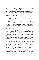#### **HER OUTDOORS 5**

me on the green nylon otherwise known as home. For better or worse, I buy most of my kit from the Army Surplus store. Ex-army gear is usually of a high quality, affordable and olive. I've had a New Zealand flag sewn on to my bivvy bag, an outer weather-resistant nylon skin. Hopefully this will stop drunks urinating on me.

Sometimes I think of myself as an urban commando.

I pack, repack, remove and refine.

All day, every day.

I'm wearing black Levi stovepipes, cherry-red 18-hole Doc Martens and a light singlet. It is a constant question: *Do I need this?* I weigh 80 kilograms and 5 kilos of that is hair, the pack weighs about 35 kilograms (give or take), and guitar and amp tip the scales at around 18 kilograms. Anything not used daily is discarded.

I am constantly arguing with myself about the guitar. But I figure it is only a matter of time before it is stolen so I might as well enjoy it. I'm a firm believer that music creates positive vibrations. Sometimes when you are homeless the hardest thing is to be positive. Music helps.

The only clothes I carry are the ones currently worn. Underwear is a luxury, and not part of the commando couture. It is a constant war against weight.

Being unable to secure personal belongings means you lose stuff. You have to either stash your belongings and risk their removal, or carry your load like a turtle or snail. The number of times I have seen grown men, and women in tears after losing their loot. Hard men and hardened wenches, men who've been working this rodeo some time, in complete despair. Women who wield weight in the underworld, stripped of whatever comforts can be carried. Sometimes it is other street people raiding another's plot, or council contractors clearing out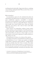anything deemed undesirable. Opportunist thieves, scumbags, scags and slags scalping the bald. When you don't have a lot, it is easy to lose the lot.

### Why be homeless?

Accommodation options for the Auckland discarded, disenfranchised and disheartened are limited and secure locker space prohibitively expensive, unavailable or untenable. Not many, if any, leaseholders want to take on an unemployed, dysfunctional or otherwise undesirable flatmate. Numerous street people have mental health issues, drug and alcohol addictions, poor literacy and a lack of basic social skills. Many others don't.

Some streeties are postgraduate students, former professionals, academics, artists and idealists. One K Road character has more than half a million dollars in the bank. Yet, living with terminal illness, he chooses to sleep rough so as not to waste money on rent and to experience as much as life has to offer, all day, every day.

If homelessness is a choice, it is a choice of few options.

According to the Lifewise and Auckland City Mission report on homelessness of 2015,\* almost 400 people are sleeping rough within a  $\frac{1}{5}$ -kilometre radius of SkyCity – a higher density of doorway dwellers than New York or London. The reality for many low and no income earners is a room the size of a hen house for up to 90 per cent of your benefit or daily hustle. An accomplished panhandler can hustle more than \$400 a day;

<sup>\*</sup> 'An Insight into the Experience of Rough Sleeping in Central Auckland', January 2015: aucklandcouncil.govt.nz/EN/newseventsculture/OurAuckland/ mediareleases/Documents/insightsleepingroughcentralakl.pdf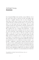# **Ashleigh Young Anemone**

On a long-haul flight, time stretches, warps, balloons. As we fly across time zones, in and out of days and nights, time becomes a tangible substance that we move through, like dense fog, or like water. It seems to exist only in the space outside the plane. Inside the plane there is no real time, and there is no real sleep and no real waking. The air conditioning circulates the same brittle air. People communicate in nudges and murmurs. We try to sleep, lopsided in our seats, like crushed cans. It's a strange static dimension – at first enjoyable, because there's nothing to do but read, eat, drink, sit, and it feels like a little holiday, but soon those actions begin to wear and we long to walk into another room and talk to somebody or open a door and walk outside. On this flight, between Auckland and Los Angeles before flying on to London, I was sitting next to two young rugby players in their uniforms, and I was reading Alan Lightman's book *The Accidental Universe*. It's a collection of essays in which – very broadly – Lightman, a physicist, explores discoveries about the universe from a philosophical and emotional perspective as well as a scientific one. It's a book I've read before, but I was reading it differently this time, paying closer attention, hoping that my semi-wakefulness might lower my defences and help me notice more. Lightman is an unusual physicist in that he's

First published on Ashleigh's blog Eyelash Roaming, 3 June 2015: eyelashroaming.com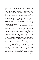#### **8 ASHLEIGH YOUNG**

intensely interested in religion – particularly Buddhism – and literature and art, and in how these things widen a scientific perspective, and vice versa. He has that kind of restless, search-beaming mind that, as you follow it, seems to open up possibilities for understanding the universe, and the tiny accidental blip of human life within it, even as he arrives at more questions rather than answers. Reading this book reminds me of my first memories of flying in a plane, with my parents and my brothers JP and Neil – looking out the window and down at the town below, seeing the cars on the tiny roads, the rivers, the sheep. I was thrilled and haunted by how small all our busy-ness had become.

On my flight I read one of the essays, 'The Temporary Universe', a number of times. There was something in it I wanted to grasp but couldn't. It opens with Lightman describing his daughter's wedding, and his feeling that it's a sort of tragedy – he wishes that she could have stayed the same, that he could have his younger daughter back, as she was at ten or twenty. (She's only thirty in this essay, but, all right, fair enough, Lightman.) He has this irrational wish, he explains, for permanence, despite his scientific understanding that everything around us – the universe, the earth, our own bodies – is relentlessly shifting and evaporating. Nature shows us that time is constantly wearing away at what we know in this moment, and that to hope for lasting stability is futile. But in a profound contradiction, people still cling: to knackered old shoes, to photographs, to products that might make us look more like our younger selves, to a house perched on a clifftop that's falling into the sea. This clinging is ridiculous in the face of the second law of thermodynamics – otherwise known as the arrow of time – and yet many of us can't relinquish a desire for the people and the things that we love to never change and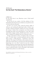# **Ali Ikram On the Hoof: The Redundancy Diaries\***

### *27 June 2015*

For the third time in my illustrious career I find myself unemployed.

Do not fear for me, reader: of all the echelons of New Zealand broadcasting, the one in which you are paid not to do it is by far the most esteemed.

So here I sit on the couch, eating the Honey Puffs of oblivion, and watching the glittering world of which I was recently a denizen passing by without me. If you can handle the twinge of shame that accompanies your three-year-old bounding into kindy and announcing in a voice that could signal ships in foggy weather, 'Daddy doesn't have a job any more, *Campbell Live* finished!' the rest of the day is yours.

Strange superstitions always accompany these uncertain times. To foster them, I recently purchased with my redundancy money a small telescope  $-$  I planned to survey the night sky. The rising of the Pleiades in the northwest has been taken since ancient times as a portent of new life and amazing happenings. So it was when I awoke the next day to Prime Minister John Key announcing to the nation the impregnation of TVNZ's *Breakfast* host Alison Pugh. My heart danced, but it did so within the body of only a bystander to this moment of great history, like an ox at the Nativity.

First published as columns in the Dominion Post between 27 June 2015 and 20 February 2016: stuff.co.nz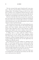### **10 ALI IKRAM**

The day worsened when again I found myself a mere spectator – this time to the betrothal of TVNZ presenter Nadine Chalmers-Ross. The feeling of being an extra in one's own life is crushing. I now sympathised with the charioteer in *Ben Hur* who was so let down by his role in the classic film that he couldn't be arsed taking his watch off for the climactic scene.

But this is what life is like when you don't have a proper job. My career began with a long period of joblessness during the Asian Economic Crisis. It was horrible each time a journalism school classmate got a job. After offering them warm congratulations, I took to my bed and wept.

The second time 'between jobs' was lovely, perhaps because I spent a chunk of it in Italy with my wife's family. Mornings began with Uncle Gelindo, riding around the Parco delle Groane where Mussolini used to shoot pheasant. Gelindo didn't speak English and I had no Italian, but his habit of drinking prosecco at sunrise transcended these differences.

In Milan, there is a place called the Galleria Vittorio Emanuele II, one of the world's oldest shopping arcades. The whole thing is ornate and rather grand, but the man who designed it, architect Giuseppe Mengoni, never got to see his creation finished. He fell from the roof the night before the building was officially opened.

His terrible luck led to the tradition of 'spinning on the bull'. To avoid being similarly cursed, wayfarers place their heels on the testicles of a bull mosaic on the floor of the arcade, turning three times while making a wish. After thousands of people doing this for more than 140 years, the poor creature's nether regions are quite the worse for wear.

For me, turning on the bull led to seven and a half years of wonderful luck. The spell may have broken now. But what more could anyone have asked for?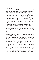### **ON THE HOOF 11**

### *1 August 2015*

'You're Ali from *Campbell Live*, aren't you?' asked the naked man, his penis swinging in its thick, dark pubic nest. His name was Matthew and he revealed himself as something of a fan.

'I used to be,' I replied, continuing to stuff tiny children's shoes into a backpack in the swimming pool changing room. I hoped that on turning around I might discover he'd put some clothes on, so I could better enjoy his hearty acclaim. No luck, sadly: his appendage bobbed at the edge of my peripheral vision, a silent party in the conversation, cylindrical and chilling, like the nuclear deterrent.

Often when a complete stranger meets 'someone on TV', the normal laws of social interaction are abandoned. A woman at the mall once hit me with her shopping by way of greeting. But when one is no longer actually on the box, a future opens up like a bottomless chasm: fame's downsides with none of the perks.

A few months ago I was a celebrity. I have deduced this because a few months ago I played in a celebrity cricket match at Hawke's Bay's Clifton Cricket Club. The ground is heaven for lovers of the game – one local farmer's 'field of dreams' at the end of a dusty road where the gentle hills part. Chris Harris, Marc Ellis and legendary Australian quick Jeff Thomson were my teammates, and children – some of whom may have even known who I was – formed an orderly queue for our autographs.

But only a short time later the fates decreed that I should find myself a jobless suburban father at a Brownie camp, sitting on the porch of one of the cabins sewing together a small stuffed monster that my daughter had christened 'Mr Fartable'. Men have come a long way since the caves: they bake cookies, arrange flowers and rock babies to their rest. Even so, within us all lurks a Neanderthal who may rear his head in the middle